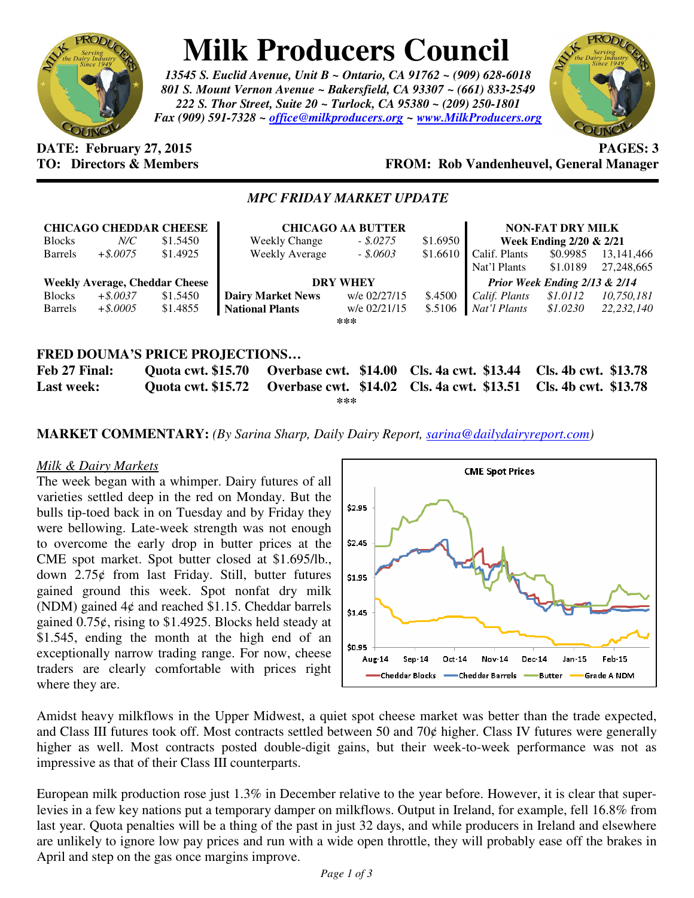

# **Milk Producers Council**

*13545 S. Euclid Avenue, Unit B ~ Ontario, CA 91762 ~ (909) 628-6018 801 S. Mount Vernon Avenue ~ Bakersfield, CA 93307 ~ (661) 833-2549 222 S. Thor Street, Suite 20 ~ Turlock, CA 95380 ~ (209) 250-1801 Fax (909) 591-7328 ~ office@milkproducers.org ~ www.MilkProducers.org*



### **DATE: February 27, 2015 PAGES: 3 TO: Directors & Members FROM: Rob Vandenheuvel, General Manager**

## *MPC FRIDAY MARKET UPDATE*

|                                            |             | <b>CHICAGO CHEDDAR CHEESE</b> | <b>CHICAGO AA BUTTER</b>                   |              |                             | <b>NON-FAT DRY MILK</b>       |                      |              |
|--------------------------------------------|-------------|-------------------------------|--------------------------------------------|--------------|-----------------------------|-------------------------------|----------------------|--------------|
| <b>Blocks</b>                              | $N\!C$      | \$1.5450                      | <b>Weekly Change</b>                       | $-.5.0275$   | \$1.6950                    | Week Ending 2/20 & 2/21       |                      |              |
| <b>Barrels</b>                             | $+$ \$.0075 | \$1.4925                      | <b>Weekly Average</b>                      | $-.5.0603$   | \$1.6610                    | Calif. Plants                 | \$0.9985             | 13, 141, 466 |
|                                            |             |                               |                                            |              |                             | Nat'l Plants                  | \$1.0189             | 27,248,665   |
| <b>Weekly Average, Cheddar Cheese</b>      |             |                               | <b>DRY WHEY</b>                            |              |                             | Prior Week Ending 2/13 & 2/14 |                      |              |
| <b>Blocks</b>                              | $+$ \$.0037 | \$1.5450                      | <b>Dairy Market News</b>                   | w/e 02/27/15 | \$.4500                     | Calif. Plants                 | \$1.0112             | 10,750,181   |
| <b>Barrels</b>                             | $+$ \$.0005 | \$1.4855                      | <b>National Plants</b>                     | w/e 02/21/15 | \$.5106                     | Nat'l Plants                  | \$1.0230             | 22.232.140   |
| ***                                        |             |                               |                                            |              |                             |                               |                      |              |
|                                            |             |                               |                                            |              |                             |                               |                      |              |
| <b>FRED DOUMA'S PRICE PROJECTIONS</b>      |             |                               |                                            |              |                             |                               |                      |              |
| Feb 27 Final:<br><b>Quota cwt. \$15.70</b> |             |                               | Overbase cwt. \$14.00                      |              | <b>Cls. 4a cwt. \$13.44</b> |                               | Cls. 4b cwt. \$13.78 |              |
| <b>Last week:</b>                          |             | <b>Ouota cwt. \$15.72</b>     | Overbase cwt. \$14.02 Cls. 4a cwt. \$13.51 |              |                             |                               | Cls. 4b cwt. \$13.78 |              |

**\*\*\*** 

**MARKET COMMENTARY:** *(By Sarina Sharp, Daily Dairy Report, sarina@dailydairyreport.com)* 

#### *Milk & Dairy Markets*

The week began with a whimper. Dairy futures of all varieties settled deep in the red on Monday. But the bulls tip-toed back in on Tuesday and by Friday they were bellowing. Late-week strength was not enough to overcome the early drop in butter prices at the CME spot market. Spot butter closed at \$1.695/lb., down 2.75ȼ from last Friday. Still, butter futures gained ground this week. Spot nonfat dry milk (NDM) gained  $4¢$  and reached \$1.15. Cheddar barrels gained  $0.75\ell$ , rising to \$1.4925. Blocks held steady at \$1.545, ending the month at the high end of an exceptionally narrow trading range. For now, cheese traders are clearly comfortable with prices right where they are.



Amidst heavy milkflows in the Upper Midwest, a quiet spot cheese market was better than the trade expected, and Class III futures took off. Most contracts settled between 50 and 70¢ higher. Class IV futures were generally higher as well. Most contracts posted double-digit gains, but their week-to-week performance was not as impressive as that of their Class III counterparts.

European milk production rose just 1.3% in December relative to the year before. However, it is clear that superlevies in a few key nations put a temporary damper on milkflows. Output in Ireland, for example, fell 16.8% from last year. Quota penalties will be a thing of the past in just 32 days, and while producers in Ireland and elsewhere are unlikely to ignore low pay prices and run with a wide open throttle, they will probably ease off the brakes in April and step on the gas once margins improve.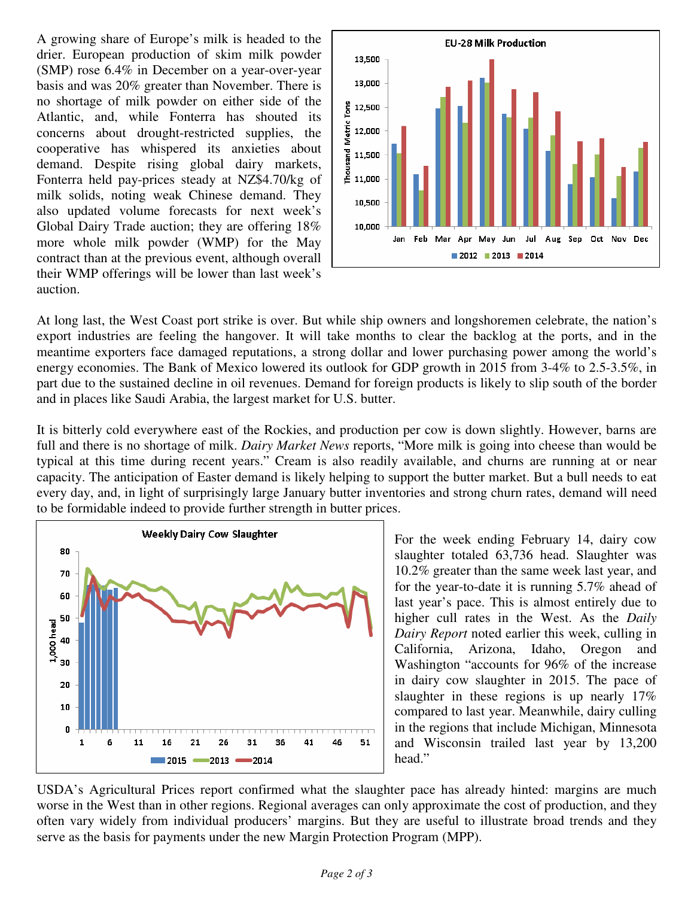A growing share of Europe's milk is headed to the drier. European production of skim milk powder (SMP) rose 6.4% in December on a year-over-year basis and was 20% greater than November. There is no shortage of milk powder on either side of the Atlantic, and, while Fonterra has shouted its concerns about drought-restricted supplies, the cooperative has whispered its anxieties about demand. Despite rising global dairy markets, Fonterra held pay-prices steady at NZ\$4.70/kg of milk solids, noting weak Chinese demand. They also updated volume forecasts for next week's Global Dairy Trade auction; they are offering 18% more whole milk powder (WMP) for the May contract than at the previous event, although overall their WMP offerings will be lower than last week's auction.



At long last, the West Coast port strike is over. But while ship owners and longshoremen celebrate, the nation's export industries are feeling the hangover. It will take months to clear the backlog at the ports, and in the meantime exporters face damaged reputations, a strong dollar and lower purchasing power among the world's energy economies. The Bank of Mexico lowered its outlook for GDP growth in 2015 from 3-4% to 2.5-3.5%, in part due to the sustained decline in oil revenues. Demand for foreign products is likely to slip south of the border and in places like Saudi Arabia, the largest market for U.S. butter.

It is bitterly cold everywhere east of the Rockies, and production per cow is down slightly. However, barns are full and there is no shortage of milk. *Dairy Market News* reports, "More milk is going into cheese than would be typical at this time during recent years." Cream is also readily available, and churns are running at or near capacity. The anticipation of Easter demand is likely helping to support the butter market. But a bull needs to eat every day, and, in light of surprisingly large January butter inventories and strong churn rates, demand will need to be formidable indeed to provide further strength in butter prices.



For the week ending February 14, dairy cow slaughter totaled 63,736 head. Slaughter was 10.2% greater than the same week last year, and for the year-to-date it is running 5.7% ahead of last year's pace. This is almost entirely due to higher cull rates in the West. As the *Daily Dairy Report* noted earlier this week, culling in California, Arizona, Idaho, Oregon and Washington "accounts for 96% of the increase in dairy cow slaughter in 2015. The pace of slaughter in these regions is up nearly 17% compared to last year. Meanwhile, dairy culling in the regions that include Michigan, Minnesota and Wisconsin trailed last year by 13,200 head."

USDA's Agricultural Prices report confirmed what the slaughter pace has already hinted: margins are much worse in the West than in other regions. Regional averages can only approximate the cost of production, and they often vary widely from individual producers' margins. But they are useful to illustrate broad trends and they serve as the basis for payments under the new Margin Protection Program (MPP).